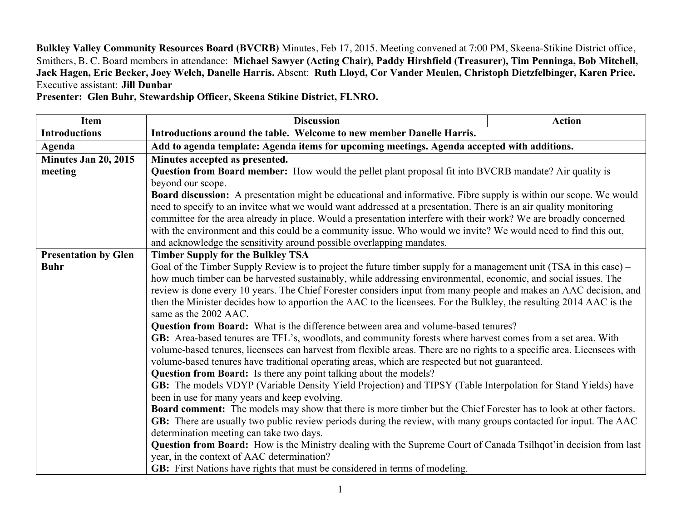**Bulkley Valley Community Resources Board (BVCRB)** Minutes, Feb 17, 2015. Meeting convened at 7:00 PM, Skeena-Stikine District office, Smithers, B. C. Board members in attendance: **Michael Sawyer (Acting Chair), Paddy Hirshfield (Treasurer), Tim Penninga, Bob Mitchell, Jack Hagen, Eric Becker, Joey Welch, Danelle Harris.** Absent: **Ruth Lloyd, Cor Vander Meulen, Christoph Dietzfelbinger, Karen Price.**  Executive assistant: **Jill Dunbar**

**Presenter: Glen Buhr, Stewardship Officer, Skeena Stikine District, FLNRO.**

| Item                        | <b>Discussion</b>                                                                                                                            | <b>Action</b> |  |
|-----------------------------|----------------------------------------------------------------------------------------------------------------------------------------------|---------------|--|
| <b>Introductions</b>        | Introductions around the table. Welcome to new member Danelle Harris.                                                                        |               |  |
| Agenda                      | Add to agenda template: Agenda items for upcoming meetings. Agenda accepted with additions.                                                  |               |  |
| Minutes Jan 20, 2015        | Minutes accepted as presented.                                                                                                               |               |  |
| meeting                     | <b>Question from Board member:</b> How would the pellet plant proposal fit into BVCRB mandate? Air quality is                                |               |  |
|                             | beyond our scope.                                                                                                                            |               |  |
|                             | Board discussion: A presentation might be educational and informative. Fibre supply is within our scope. We would                            |               |  |
|                             | need to specify to an invitee what we would want addressed at a presentation. There is an air quality monitoring                             |               |  |
|                             | committee for the area already in place. Would a presentation interfere with their work? We are broadly concerned                            |               |  |
|                             | with the environment and this could be a community issue. Who would we invite? We would need to find this out,                               |               |  |
|                             | and acknowledge the sensitivity around possible overlapping mandates.                                                                        |               |  |
| <b>Presentation by Glen</b> | <b>Timber Supply for the Bulkley TSA</b>                                                                                                     |               |  |
| <b>Buhr</b>                 | Goal of the Timber Supply Review is to project the future timber supply for a management unit (TSA in this case) –                           |               |  |
|                             | how much timber can be harvested sustainably, while addressing environmental, economic, and social issues. The                               |               |  |
|                             | review is done every 10 years. The Chief Forester considers input from many people and makes an AAC decision, and                            |               |  |
|                             | then the Minister decides how to apportion the AAC to the licensees. For the Bulkley, the resulting 2014 AAC is the<br>same as the 2002 AAC. |               |  |
|                             | Question from Board: What is the difference between area and volume-based tenures?                                                           |               |  |
|                             | GB: Area-based tenures are TFL's, woodlots, and community forests where harvest comes from a set area. With                                  |               |  |
|                             | volume-based tenures, licensees can harvest from flexible areas. There are no rights to a specific area. Licensees with                      |               |  |
|                             | volume-based tenures have traditional operating areas, which are respected but not guaranteed.                                               |               |  |
|                             | <b>Question from Board:</b> Is there any point talking about the models?                                                                     |               |  |
|                             | GB: The models VDYP (Variable Density Yield Projection) and TIPSY (Table Interpolation for Stand Yields) have                                |               |  |
|                             | been in use for many years and keep evolving.                                                                                                |               |  |
|                             | <b>Board comment:</b> The models may show that there is more timber but the Chief Forester has to look at other factors.                     |               |  |
|                             | GB: There are usually two public review periods during the review, with many groups contacted for input. The AAC                             |               |  |
|                             | determination meeting can take two days.                                                                                                     |               |  |
|                             | <b>Question from Board:</b> How is the Ministry dealing with the Supreme Court of Canada Tsilhqot'in decision from last                      |               |  |
|                             | year, in the context of AAC determination?                                                                                                   |               |  |
|                             | <b>GB:</b> First Nations have rights that must be considered in terms of modeling.                                                           |               |  |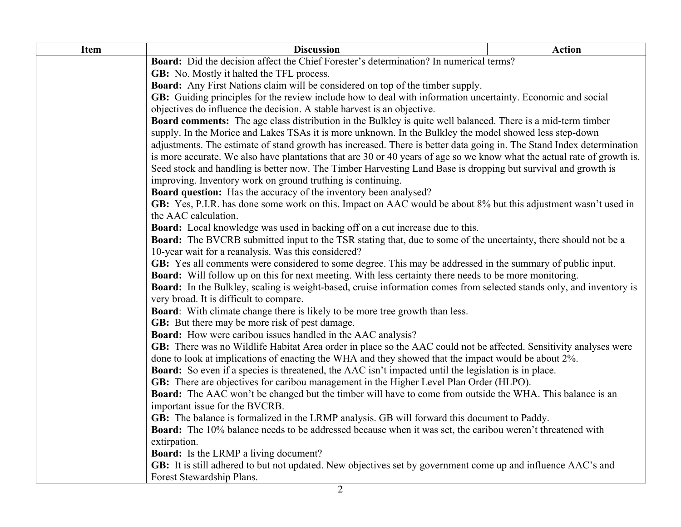| <b>Item</b> | <b>Discussion</b>                                                                                                                                                                                                    | <b>Action</b> |  |
|-------------|----------------------------------------------------------------------------------------------------------------------------------------------------------------------------------------------------------------------|---------------|--|
|             | Board: Did the decision affect the Chief Forester's determination? In numerical terms?                                                                                                                               |               |  |
|             | <b>GB:</b> No. Mostly it halted the TFL process.                                                                                                                                                                     |               |  |
|             | Board: Any First Nations claim will be considered on top of the timber supply.                                                                                                                                       |               |  |
|             | GB: Guiding principles for the review include how to deal with information uncertainty. Economic and social                                                                                                          |               |  |
|             | objectives do influence the decision. A stable harvest is an objective.                                                                                                                                              |               |  |
|             | <b>Board comments:</b> The age class distribution in the Bulkley is quite well balanced. There is a mid-term timber                                                                                                  |               |  |
|             | supply. In the Morice and Lakes TSAs it is more unknown. In the Bulkley the model showed less step-down                                                                                                              |               |  |
|             | adjustments. The estimate of stand growth has increased. There is better data going in. The Stand Index determination                                                                                                |               |  |
|             | is more accurate. We also have plantations that are 30 or 40 years of age so we know what the actual rate of growth is.                                                                                              |               |  |
|             | Seed stock and handling is better now. The Timber Harvesting Land Base is dropping but survival and growth is                                                                                                        |               |  |
|             | improving. Inventory work on ground truthing is continuing.                                                                                                                                                          |               |  |
|             | <b>Board question:</b> Has the accuracy of the inventory been analysed?                                                                                                                                              |               |  |
|             | GB: Yes, P.I.R. has done some work on this. Impact on AAC would be about 8% but this adjustment wasn't used in                                                                                                       |               |  |
|             | the AAC calculation.                                                                                                                                                                                                 |               |  |
|             | Board: Local knowledge was used in backing off on a cut increase due to this.                                                                                                                                        |               |  |
|             | <b>Board:</b> The BVCRB submitted input to the TSR stating that, due to some of the uncertainty, there should not be a                                                                                               |               |  |
|             | 10-year wait for a reanalysis. Was this considered?                                                                                                                                                                  |               |  |
|             | GB: Yes all comments were considered to some degree. This may be addressed in the summary of public input.<br>Board: Will follow up on this for next meeting. With less certainty there needs to be more monitoring. |               |  |
|             | <b>Board:</b> In the Bulkley, scaling is weight-based, cruise information comes from selected stands only, and inventory is                                                                                          |               |  |
|             | very broad. It is difficult to compare.                                                                                                                                                                              |               |  |
|             | <b>Board:</b> With climate change there is likely to be more tree growth than less.                                                                                                                                  |               |  |
|             | <b>GB:</b> But there may be more risk of pest damage.                                                                                                                                                                |               |  |
|             | <b>Board:</b> How were caribou issues handled in the AAC analysis?                                                                                                                                                   |               |  |
|             | GB: There was no Wildlife Habitat Area order in place so the AAC could not be affected. Sensitivity analyses were                                                                                                    |               |  |
|             | done to look at implications of enacting the WHA and they showed that the impact would be about 2%.                                                                                                                  |               |  |
|             | <b>Board:</b> So even if a species is threatened, the AAC isn't impacted until the legislation is in place.                                                                                                          |               |  |
|             | GB: There are objectives for caribou management in the Higher Level Plan Order (HLPO).                                                                                                                               |               |  |
|             | <b>Board:</b> The AAC won't be changed but the timber will have to come from outside the WHA. This balance is an                                                                                                     |               |  |
|             | important issue for the BVCRB.                                                                                                                                                                                       |               |  |
|             | GB: The balance is formalized in the LRMP analysis. GB will forward this document to Paddy.                                                                                                                          |               |  |
|             | Board: The 10% balance needs to be addressed because when it was set, the caribou weren't threatened with                                                                                                            |               |  |
|             | extirpation.                                                                                                                                                                                                         |               |  |
|             | <b>Board:</b> Is the LRMP a living document?                                                                                                                                                                         |               |  |
|             | GB: It is still adhered to but not updated. New objectives set by government come up and influence AAC's and                                                                                                         |               |  |
|             | Forest Stewardship Plans.                                                                                                                                                                                            |               |  |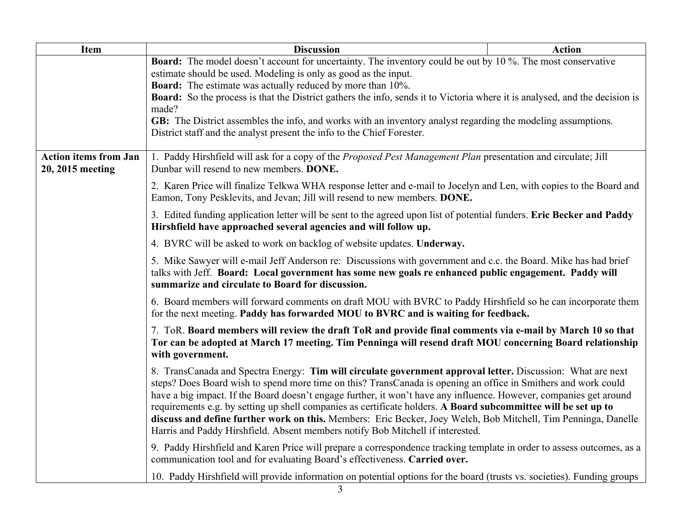| <b>Item</b>                  | <b>Discussion</b>                                                                                                                                                                                                                                                                                                                                                                                                                                                                                                                                                                                                                                                         | <b>Action</b> |  |  |
|------------------------------|---------------------------------------------------------------------------------------------------------------------------------------------------------------------------------------------------------------------------------------------------------------------------------------------------------------------------------------------------------------------------------------------------------------------------------------------------------------------------------------------------------------------------------------------------------------------------------------------------------------------------------------------------------------------------|---------------|--|--|
|                              | <b>Board:</b> The model doesn't account for uncertainty. The inventory could be out by 10 %. The most conservative                                                                                                                                                                                                                                                                                                                                                                                                                                                                                                                                                        |               |  |  |
|                              | estimate should be used. Modeling is only as good as the input.                                                                                                                                                                                                                                                                                                                                                                                                                                                                                                                                                                                                           |               |  |  |
|                              | <b>Board:</b> The estimate was actually reduced by more than 10%.<br><b>Board:</b> So the process is that the District gathers the info, sends it to Victoria where it is analysed, and the decision is                                                                                                                                                                                                                                                                                                                                                                                                                                                                   |               |  |  |
|                              | made?                                                                                                                                                                                                                                                                                                                                                                                                                                                                                                                                                                                                                                                                     |               |  |  |
|                              | GB: The District assembles the info, and works with an inventory analyst regarding the modeling assumptions.                                                                                                                                                                                                                                                                                                                                                                                                                                                                                                                                                              |               |  |  |
|                              | District staff and the analyst present the info to the Chief Forester.                                                                                                                                                                                                                                                                                                                                                                                                                                                                                                                                                                                                    |               |  |  |
| <b>Action items from Jan</b> | 1. Paddy Hirshfield will ask for a copy of the Proposed Pest Management Plan presentation and circulate; Jill                                                                                                                                                                                                                                                                                                                                                                                                                                                                                                                                                             |               |  |  |
| 20, 2015 meeting             | Dunbar will resend to new members. <b>DONE.</b>                                                                                                                                                                                                                                                                                                                                                                                                                                                                                                                                                                                                                           |               |  |  |
|                              | 2. Karen Price will finalize Telkwa WHA response letter and e-mail to Jocelyn and Len, with copies to the Board and<br>Eamon, Tony Pesklevits, and Jevan; Jill will resend to new members. DONE.                                                                                                                                                                                                                                                                                                                                                                                                                                                                          |               |  |  |
|                              | 3. Edited funding application letter will be sent to the agreed upon list of potential funders. Eric Becker and Paddy<br>Hirshfield have approached several agencies and will follow up.                                                                                                                                                                                                                                                                                                                                                                                                                                                                                  |               |  |  |
|                              | 4. BVRC will be asked to work on backlog of website updates. Underway.                                                                                                                                                                                                                                                                                                                                                                                                                                                                                                                                                                                                    |               |  |  |
|                              | 5. Mike Sawyer will e-mail Jeff Anderson re: Discussions with government and c.c. the Board. Mike has had brief<br>talks with Jeff. Board: Local government has some new goals re enhanced public engagement. Paddy will<br>summarize and circulate to Board for discussion.                                                                                                                                                                                                                                                                                                                                                                                              |               |  |  |
|                              | 6. Board members will forward comments on draft MOU with BVRC to Paddy Hirshfield so he can incorporate them<br>for the next meeting. Paddy has forwarded MOU to BVRC and is waiting for feedback.                                                                                                                                                                                                                                                                                                                                                                                                                                                                        |               |  |  |
|                              | 7. ToR. Board members will review the draft ToR and provide final comments via e-mail by March 10 so that<br>Tor can be adopted at March 17 meeting. Tim Penninga will resend draft MOU concerning Board relationship<br>with government.                                                                                                                                                                                                                                                                                                                                                                                                                                 |               |  |  |
|                              | 8. TransCanada and Spectra Energy: Tim will circulate government approval letter. Discussion: What are next<br>steps? Does Board wish to spend more time on this? TransCanada is opening an office in Smithers and work could<br>have a big impact. If the Board doesn't engage further, it won't have any influence. However, companies get around<br>requirements e.g. by setting up shell companies as certificate holders. A Board subcommittee will be set up to<br>discuss and define further work on this. Members: Eric Becker, Joey Welch, Bob Mitchell, Tim Penninga, Danelle<br>Harris and Paddy Hirshfield. Absent members notify Bob Mitchell if interested. |               |  |  |
|                              | 9. Paddy Hirshfield and Karen Price will prepare a correspondence tracking template in order to assess outcomes, as a<br>communication tool and for evaluating Board's effectiveness. Carried over.                                                                                                                                                                                                                                                                                                                                                                                                                                                                       |               |  |  |
|                              | 10. Paddy Hirshfield will provide information on potential options for the board (trusts vs. societies). Funding groups                                                                                                                                                                                                                                                                                                                                                                                                                                                                                                                                                   |               |  |  |